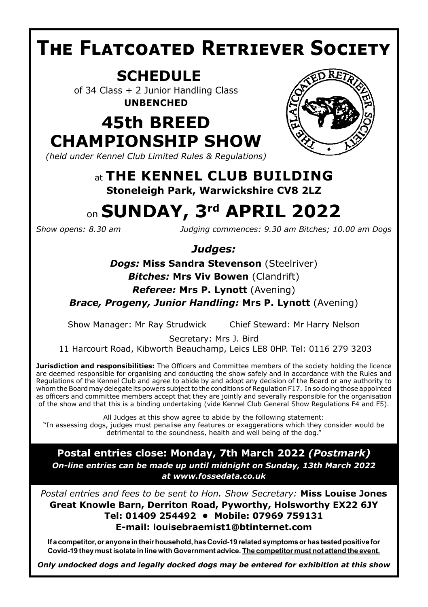# **The Flatcoated Retriever Society**

## **SCHEDULE**

of 34 Class + 2 Junior Handling Class **UNBENCHED**

**45th BREED CHAMPIONSHIP SHOW**



## at **THE KENNEL CLUB BUILDING Stoneleigh Park, Warwickshire CV8 2LZ**

## on **SUNDAY, 3rd APRIL 2022**

*Show opens: 8.30 am Judging commences: 9.30 am Bitches; 10.00 am Dogs*

*Judges:*

*Dogs:* **Miss Sandra Stevenson** (Steelriver)

*Bitches:* **Mrs Viv Bowen** (Clandrift)

*Referee:* **Mrs P. Lynott** (Avening)

*Brace, Progeny, Junior Handling:* **Mrs P. Lynott** (Avening)

Show Manager: Mr Ray Strudwick Chief Steward: Mr Harry Nelson

Secretary: Mrs J. Bird

11 Harcourt Road, Kibworth Beauchamp, Leics LE8 0HP. Tel: 0116 279 3203

**Jurisdiction and responsibilities:** The Officers and Committee members of the society holding the licence are deemed responsible for organising and conducting the show safely and in accordance with the Rules and Regulations of the Kennel Club and agree to abide by and adopt any decision of the Board or any authority to whom the Board may delegate its powers subject to the conditions of Regulation F17. In so doing those appointed as officers and committee members accept that they are jointly and severally responsible for the organisation of the show and that this is a binding undertaking (vide Kennel Club General Show Regulations F4 and F5).

All Judges at this show agree to abide by the following statement: "In assessing dogs, judges must penalise any features or exaggerations which they consider would be detrimental to the soundness, health and well being of the dog.

**Postal entries close: Monday, 7th March 2022** *(Postmark) On-line entries can be made up until midnight on Sunday, 13th March 2022 at www.fossedata.co.uk*

*Postal entries and fees to be sent to Hon. Show Secretary:* **Miss Louise Jones Great Knowle Barn, Derriton Road, Pyworthy, Holsworthy EX22 6JY Tel: 01409 254492 • Mobile: 07969 759131 E-mail: louisebraemist1@btinternet.com**

**If a competitor, or anyone in their household, has Covid-19 related symptoms or has tested positive for Covid-19 they must isolate in line with Government advice. The competitor must not attend the event.**

*Only undocked dogs and legally docked dogs may be entered for exhibition at this show*

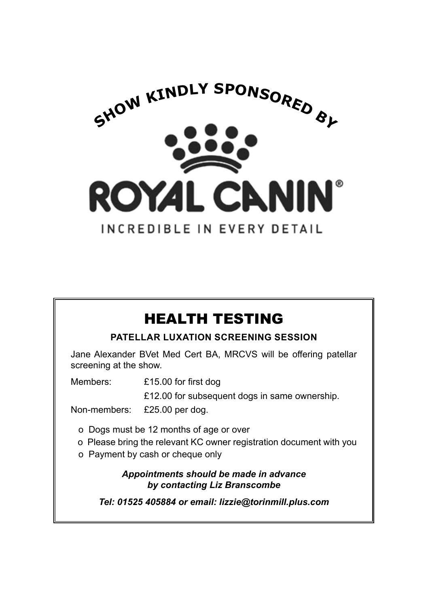

## HEALTH TESTING

#### **PATELLAR LUXATION SCREENING SESSION**

Jane Alexander BVet Med Cert BA, MRCVS will be offering patellar screening at the show.

Members: £15.00 for first dog

£12.00 for subsequent dogs in same ownership.

Non-members: £25.00 per dog.

o Dogs must be 12 months of age or over

- o Please bring the relevant KC owner registration document with you
- o Payment by cash or cheque only

*Appointments should be made in advance by contacting Liz Branscombe*

*Tel: 01525 405884 or email: lizzie@torinmill.plus.com*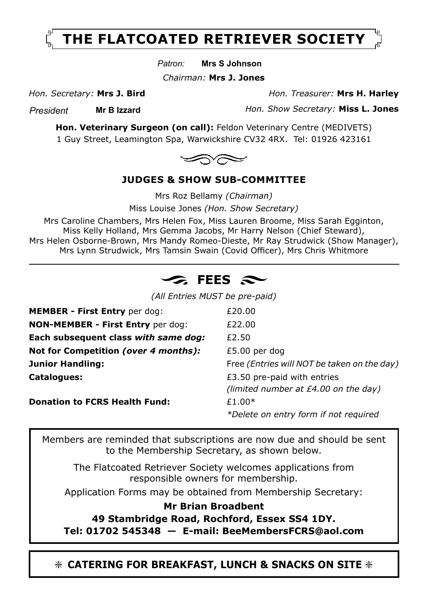

*President:* **Mrs S. Johnson** *Patron:* **Mrs S Johnson**

*Chairman:* **Mrs J. Jones**

*Hon. Secretary:* **Mrs J. Bird** *Hon. Treasurer:* **Mrs H. Harley**

 $President$ 

*Show Manager:* **Mr R. Strudwick** *Hon. Show Secretary:* **Miss L. Jones**

**Hon. Veterinary Surgeon (on call):** Feldon Veterinary Centre (MEDIVETS) 1 Guy Street, Leamington Spa, Warwickshire CV32 4RX. Tel: 01926 423161



#### **JUDGES & SHOW SUB-COMMITTEE**

Mrs Roz Bellamy *(Chairman)*

Miss Louise Jones *(Hon. Show Secretary)*

Mrs Caroline Chambers, Mrs Helen Fox, Miss Lauren Broome, Miss Sarah Egginton, Miss Kelly Holland, Mrs Gemma Jacobs, Mr Harry Nelson (Chief Steward), Mrs Helen Osborne-Brown, Mrs Mandy Romeo-Dieste, Mr Ray Strudwick (Show Manager), Mrs Lynn Strudwick, Mrs Tamsin Swain (Covid Officer), Mrs Chris Whitmore

## **EXECUTE**

*(All Entries MUST be pre-paid)*

| <b>MEMBER - First Entry per dog:</b> | £20.00                                      |
|--------------------------------------|---------------------------------------------|
| NON-MEMBER - First Entry per dog:    | £22.00                                      |
| Each subsequent class with same dog: | £2.50                                       |
| Not for Competition (over 4 months): | $£5.00$ per dog                             |
| <b>Junior Handling:</b>              | Free (Entries will NOT be taken on the day) |
| <b>Catalogues:</b>                   | £3.50 pre-paid with entries                 |
|                                      | (limited number at $E4.00$ on the day)      |
| <b>Donation to FCRS Health Fund:</b> | $£1.00*$                                    |
|                                      | *Delete on entry form if not required       |

Members are reminded that subscriptions are now due and should be sent to the Membership Secretary, as shown below.

The Flatcoated Retriever Society welcomes applications from responsible owners for membership.

Application Forms may be obtained from Membership Secretary:

**Mr Brian Broadbent 49 Stambridge Road, Rochford, Essex SS4 1DY. Tel: 01702 545348 — E-mail: BeeMembersFCRS@aol.com**

g **CATERING FOR BREAKFAST, LUNCH & SNACKS ON SITE** g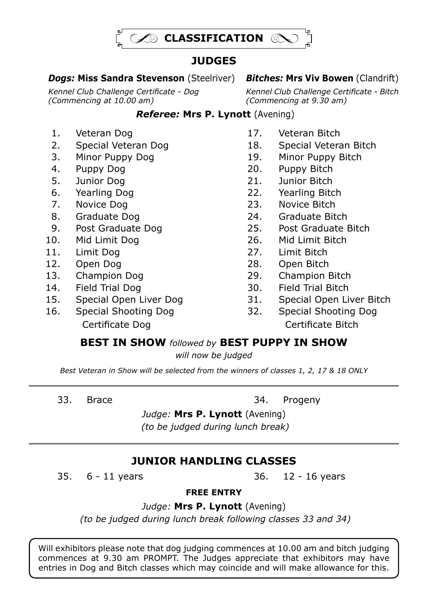

## **JUDGES**

#### *Dogs:* **Miss Sandra Stevenson** (Steelriver) *Bitches:* **Mrs Viv Bowen** (Clandrift)

Kennel Club Challenge Certificate - Dog Kennel Club Challenge Certificate - Bitch<br>(Commencina at 10.00 am) (Commencina at 9.30 am)  *(Commencing at 10.00 am) (Commencing at 9.30 am)*

#### *Referee:* **Mrs P. Lynott** (Avening)

- 
- 
- 
- 
- 
- 
- 
- 
- 
- 
- 11. Limit Dog 27. Limit Bitch
- 
- 
- 14. Field Trial Dog 30. Field Trial Bitch
- 
- 16. Special Shooting Dog 32. Special Shooting Dog
- 1. Veteran Dog 17. Veteran Bitch
- 2. Special Veteran Dog 18. Special Veteran Bitch
- 3. Minor Puppy Dog 19. Minor Puppy Bitch
- 4. Puppy Dog 20. Puppy Bitch
- 5. Junior Dog 21. Junior Bitch
- 6. Yearling Dog 22. Yearling Bitch
- 7. Novice Dog 23. Novice Bitch
- 8. Graduate Dog 24. Graduate Bitch
- 9. Post Graduate Dog 25. Post Graduate Bitch
- 10. Mid Limit Dog 26. Mid Limit Bitch
	-
- 12. Open Dog 28. Open Bitch
- 13. Champion Dog 29. Champion Bitch
	-
- 15. Special Open Liver Dog 31. Special Open Liver Bitch
	- Certificate Dog Certificate Bitch

### **BEST IN SHOW** *followed by* **BEST PUPPY IN SHOW**

*will now be judged*

*Best Veteran in Show will be selected from the winners of classes 1, 2, 17 & 18 ONLY*

33. Brace 34. Progeny

*Judge:* **Mrs P. Lynott** (Avening)

 *(to be judged during lunch break)*

## **JUNIOR HANDLING CLASSES**

35. 6 - 11 years 36. 12 - 16 years

**FREE ENTRY**

*Judge:* **Mrs P. Lynott** (Avening)

 *(to be judged during lunch break following classes 33 and 34)*

Will exhibitors please note that dog judging commences at 10.00 am and bitch judging commences at 9.30 am PROMPT. The Judges appreciate that exhibitors may have entries in Dog and Bitch classes which may coincide and will make allowance for this.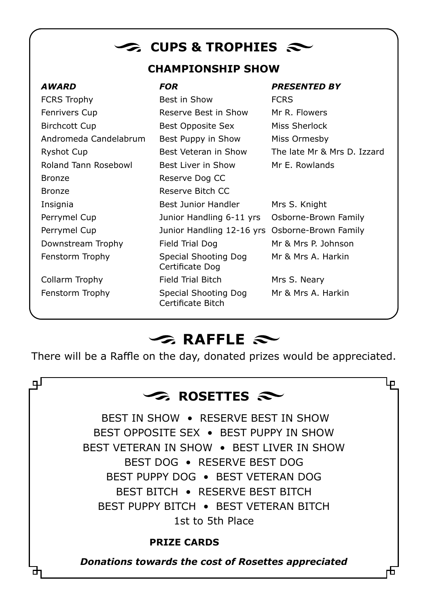## **CUPS & TROPHIES**

## **CHAMPIONSHIP SHOW**

| AWARD                 | <b>FOR</b>                                | <b>PRESENTED BY</b>         |
|-----------------------|-------------------------------------------|-----------------------------|
| <b>FCRS Trophy</b>    | Best in Show                              | <b>FCRS</b>                 |
| Fenrivers Cup         | Reserve Best in Show                      | Mr R. Flowers               |
| <b>Birchcott Cup</b>  | Best Opposite Sex                         | Miss Sherlock               |
| Andromeda Candelabrum | Best Puppy in Show                        | Miss Ormesby                |
| Ryshot Cup            | Best Veteran in Show                      | The late Mr & Mrs D. Izzard |
| Roland Tann Rosebowl  | Best Liver in Show                        | Mr E. Rowlands              |
| Bronze                | Reserve Dog CC                            |                             |
| Bronze                | Reserve Bitch CC                          |                             |
| Insignia              | Best Junior Handler                       | Mrs S. Knight               |
| Perrymel Cup          | Junior Handling 6-11 yrs                  | Osborne-Brown Family        |
| Perrymel Cup          | Junior Handling 12-16 yrs                 | Osborne-Brown Family        |
| Downstream Trophy     | Field Trial Dog                           | Mr & Mrs P. Johnson         |
| Fenstorm Trophy       | Special Shooting Dog<br>Certificate Dog   | Mr & Mrs A. Harkin          |
| Collarm Trophy        | Field Trial Bitch                         | Mrs S. Neary                |
| Fenstorm Trophy       | Special Shooting Dog<br>Certificate Bitch | Mr & Mrs A. Harkin          |

## **RAFFLE**

There will be a Raffle on the day, donated prizes would be appreciated.

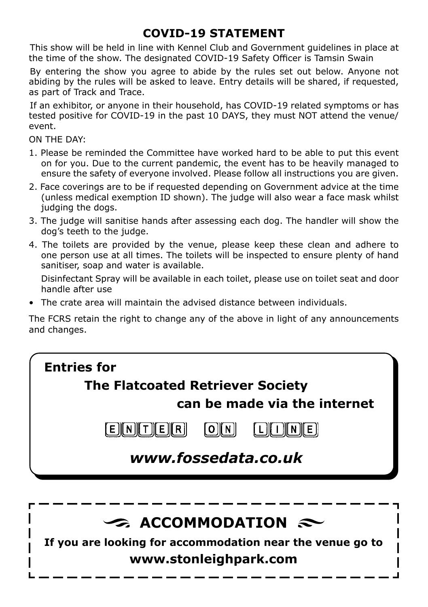## **COVID-19 STATEMENT**

This show will be held in line with Kennel Club and Government guidelines in place at the time of the show. The designated COVID-19 Safety Officer is Tamsin Swain

By entering the show you agree to abide by the rules set out below. Anyone not abiding by the rules will be asked to leave. Entry details will be shared, if requested, as part of Track and Trace.

If an exhibitor, or anyone in their household, has COVID-19 related symptoms or has tested positive for COVID-19 in the past 10 DAYS, they must NOT attend the venue/ event.

ON THE DAY:

- 1. Please be reminded the Committee have worked hard to be able to put this event on for you. Due to the current pandemic, the event has to be heavily managed to ensure the safety of everyone involved. Please follow all instructions you are given.
- 2. Face coverings are to be if requested depending on Government advice at the time (unless medical exemption ID shown). The judge will also wear a face mask whilst judging the dogs.
- 3. The judge will sanitise hands after assessing each dog. The handler will show the dog's teeth to the judge.
- 4. The toilets are provided by the venue, please keep these clean and adhere to one person use at all times. The toilets will be inspected to ensure plenty of hand sanitiser, soap and water is available.

 Disinfectant Spray will be available in each toilet, please use on toilet seat and door handle after use

• The crate area will maintain the advised distance between individuals.

The FCRS retain the right to change any of the above in light of any announcements and changes.



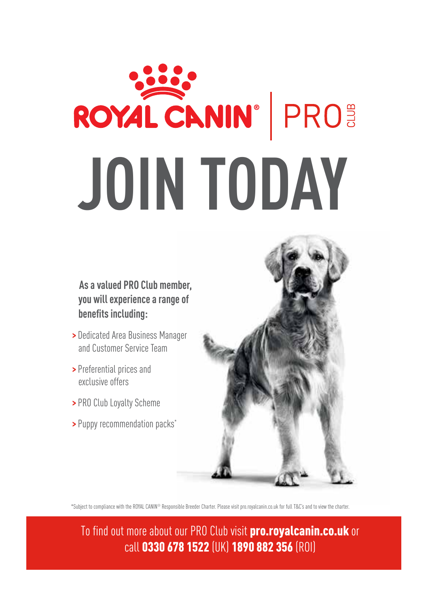# ROYAL CANIN' | PROS **JOIN TODAY**

## **As a valued PRO Club member, you will experience a range of benefits including:**

- **>** Dedicated Area Business Manager and Customer Service Team
- **>** Preferential prices and exclusive offers
- **>** PRO Club Loyalty Scheme
- **>** Puppy recommendation packs\*



\*Subject to compliance with the ROYAL CANIN® Responsible Breeder Charter. Please visit pro.royalcanin.co.uk for full T&C's and to view the charter.

To find out more about our PRO Club visit pro.royalcanin.co.uk or call 0330 678 1522 (UK) 1890 882 356 (ROI)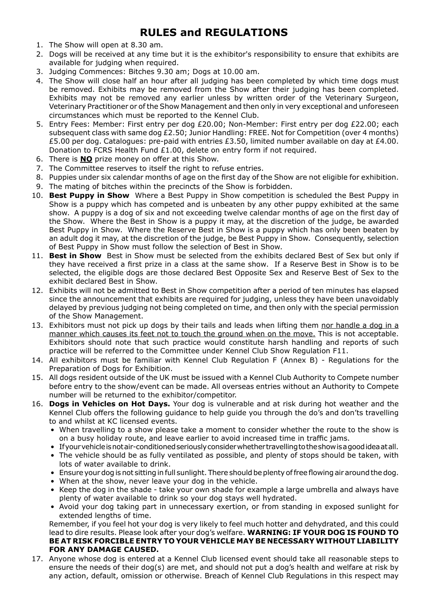- 1. The Show will open at 8.30 am.
- 2. Dogs will be received at any time but it is the exhibitor's responsibility to ensure that exhibits are available for judging when required.
- 3. Judging Commences: Bitches 9.30 am; Dogs at 10.00 am.
- 4. The Show will close half an hour after all judging has been completed by which time dogs must be removed. Exhibits may be removed from the Show after their judging has been completed. Exhibits may not be removed any earlier unless by written order of the Veterinary Surgeon, Veterinary Practitioner or of the Show Management and then only in very exceptional and unforeseen circumstances which must be reported to the Kennel Club.
- 5. Entry Fees: Member: First entry per dog £20.00; Non-Member: First entry per dog £22.00; each subsequent class with same dog  $E2.50$ ; Junior Handling: FREE. Not for Competition (over 4 months) £5.00 per dog. Catalogues: pre-paid with entries £3.50, limited number available on day at £4.00. Donation to FCRS Health Fund £1.00, delete on entry form if not required.
- 6. There is **NO** prize money on offer at this Show.
- 7. The Committee reserves to itself the right to refuse entries.
- 8. Puppies under six calendar months of age on the first day of the Show are not eligible for exhibition.
- 9. The mating of bitches within the precincts of the Show is forbidden.
- 10. **Best Puppy in Show** Where a Best Puppy in Show competition is scheduled the Best Puppy in Show is a puppy which has competed and is unbeaten by any other puppy exhibited at the same show. A puppy is a dog of six and not exceeding twelve calendar months of age on the first day of the Show. Where the Best in Show is a puppy it may, at the discretion of the judge, be awarded Best Puppy in Show. Where the Reserve Best in Show is a puppy which has only been beaten by an adult dog it may, at the discretion of the judge, be Best Puppy in Show. Consequently, selection of Best Puppy in Show must follow the selection of Best in Show.
- 11. **Best in Show** Best in Show must be selected from the exhibits declared Best of Sex but only if they have received a first prize in a class at the same show. If a Reserve Best in Show is to be selected, the eligible dogs are those declared Best Opposite Sex and Reserve Best of Sex to the exhibit declared Best in Show.
- 12. Exhibits will not be admitted to Best in Show competition after a period of ten minutes has elapsed since the announcement that exhibits are required for judging, unless they have been unavoidably delayed by previous judging not being completed on time, and then only with the special permission of the Show Management.
- 13. Exhibitors must not pick up dogs by their tails and leads when lifting them nor handle a dog in a manner which causes its feet not to touch the ground when on the move. This is not acceptable. Exhibitors should note that such practice would constitute harsh handling and reports of such practice will be referred to the Committee under Kennel Club Show Regulation F11.
- 14. All exhibitors must be familiar with Kennel Club Regulation F (Annex B) Regulations for the Preparation of Dogs for Exhibition.
- 15. All dogs resident outside of the UK must be issued with a Kennel Club Authority to Compete number before entry to the show/event can be made. All overseas entries without an Authority to Compete number will be returned to the exhibitor/competitor.
- 16. **Dogs in Vehicles on Hot Days.** Your dog is vulnerable and at risk during hot weather and the Kennel Club offers the following guidance to help guide you through the do's and don'ts travelling to and whilst at KC licensed events.
	- When travelling to a show please take a moment to consider whether the route to the show is on a busy holiday route, and leave earlier to avoid increased time in traffic jams.
	- If your vehicle is not air-conditioned seriously consider whether travelling to the show is a good idea at all.
	- The vehicle should be as fully ventilated as possible, and plenty of stops should be taken, with lots of water available to drink.
	- Ensure your dog is not sitting in full sunlight. There should be plenty of free flowing air around the dog.
	- When at the show, never leave your dog in the vehicle.
	- Keep the dog in the shade take your own shade for example a large umbrella and always have plenty of water available to drink so your dog stays well hydrated.
	- Avoid your dog taking part in unnecessary exertion, or from standing in exposed sunlight for extended lengths of time.

 Remember, if you feel hot your dog is very likely to feel much hotter and dehydrated, and this could lead to dire results. Please look after your dog's welfare. **WARNING: IF YOUR DOG IS FOUND TO BE AT RISK FORCIBLE ENTRY TO YOUR VEHICLE MAY BE NECESSARY WITHOUT LIABILITY FOR ANY DAMAGE CAUSED.** 

 17. Anyone whose dog is entered at a Kennel Club licensed event should take all reasonable steps to ensure the needs of their dog(s) are met, and should not put a dog's health and welfare at risk by any action, default, omission or otherwise. Breach of Kennel Club Regulations in this respect may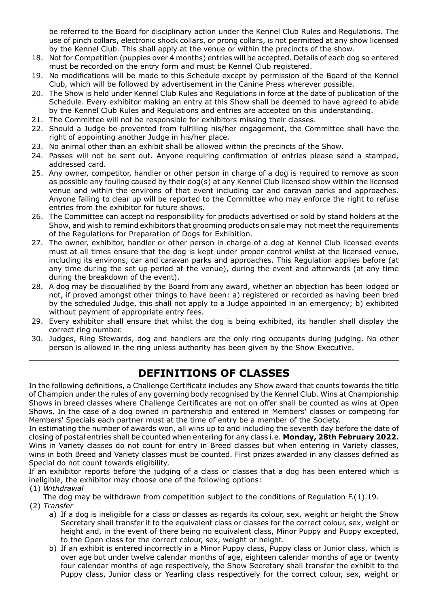be referred to the Board for disciplinary action under the Kennel Club Rules and Regulations. The use of pinch collars, electronic shock collars, or prong collars, is not permitted at any show licensed by the Kennel Club. This shall apply at the venue or within the precincts of the show.

- 18. Not for Competition (puppies over 4 months) entries will be accepted. Details of each dog so entered must be recorded on the entry form and must be Kennel Club registered.
- 19. No modifications will be made to this Schedule except by permission of the Board of the Kennel Club, which will be followed by advertisement in the Canine Press wherever possible.
- 20. The Show is held under Kennel Club Rules and Regulations in force at the date of publication of the Schedule. Every exhibitor making an entry at this Show shall be deemed to have agreed to abide by the Kennel Club Rules and Regulations and entries are accepted on this understanding.
- 21. The Committee will not be responsible for exhibitors missing their classes.
- 22. Should a Judge be prevented from fulfilling his/her engagement, the Committee shall have the right of appointing another Judge in his/her place.
- 23. No animal other than an exhibit shall be allowed within the precincts of the Show.
- 24. Passes will not be sent out. Anyone requiring confirmation of entries please send a stamped, addressed card.
- 25. Any owner, competitor, handler or other person in charge of a dog is required to remove as soon as possible any fouling caused by their dog(s) at any Kennel Club licensed show within the licensed venue and within the environs of that event including car and caravan parks and approaches. Anyone failing to clear up will be reported to the Committee who may enforce the right to refuse entries from the exhibitor for future shows.
- 26. The Committee can accept no responsibility for products advertised or sold by stand holders at the Show, and wish to remind exhibitors that grooming products on sale may not meet the requirements of the Regulations for Preparation of Dogs for Exhibition.
- 27. The owner, exhibitor, handler or other person in charge of a dog at Kennel Club licensed events must at all times ensure that the dog is kept under proper control whilst at the licensed venue, including its environs, car and caravan parks and approaches. This Regulation applies before (at any time during the set up period at the venue), during the event and afterwards (at any time during the breakdown of the event).
- 28. A dog may be disqualified by the Board from any award, whether an objection has been lodged or not, if proved amongst other things to have been: a) registered or recorded as having been bred by the scheduled Judge, this shall not apply to a Judge appointed in an emergency; b) exhibited without payment of appropriate entry fees.
- 29. Every exhibitor shall ensure that whilst the dog is being exhibited, its handler shall display the correct ring number.
- 30. Judges, Ring Stewards, dog and handlers are the only ring occupants during judging. No other person is allowed in the ring unless authority has been given by the Show Executive.

### **DEFINITIONS OF CLASSES**

In the following definitions, a Challenge Certificate includes any Show award that counts towards the title of Champion under the rules of any governing body recognised by the Kennel Club. Wins at Championship Shows in breed classes where Challenge Certificates are not on offer shall be counted as wins at Open Shows. In the case of a dog owned in partnership and entered in Members' classes or competing for Members' Specials each partner must at the time of entry be a member of the Society.

In estimating the number of awards won, all wins up to and including the seventh day before the date of closing of postal entries shall be counted when entering for any class i.e. **Monday, 28th February 2022.** Wins in Variety classes do not count for entry in Breed classes but when entering in Variety classes, wins in both Breed and Variety classes must be counted. First prizes awarded in any classes defined as Special do not count towards eligibility.

If an exhibitor reports before the judging of a class or classes that a dog has been entered which is ineligible, the exhibitor may choose one of the following options:

#### (1) *Withdrawal*

 The dog may be withdrawn from competition subject to the conditions of Regulation F.(1).19. (2) *Transfer*

- a) If a dog is ineligible for a class or classes as regards its colour, sex, weight or height the Show Secretary shall transfer it to the equivalent class or classes for the correct colour, sex, weight or height and, in the event of there being no equivalent class, Minor Puppy and Puppy excepted, to the Open class for the correct colour, sex, weight or height.
- b) If an exhibit is entered incorrectly in a Minor Puppy class, Puppy class or Junior class, which is over age but under twelve calendar months of age, eighteen calendar months of age or twenty four calendar months of age respectively, the Show Secretary shall transfer the exhibit to the Puppy class, Junior class or Yearling class respectively for the correct colour, sex, weight or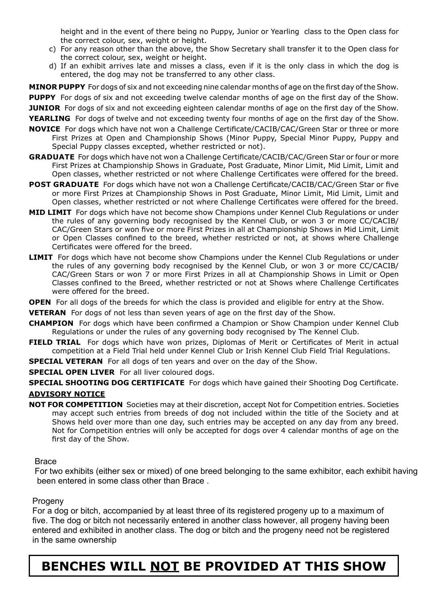height and in the event of there being no Puppy, Junior or Yearling class to the Open class for the correct colour, sex, weight or height.

- c) For any reason other than the above, the Show Secretary shall transfer it to the Open class for the correct colour, sex, weight or height.
- d) If an exhibit arrives late and misses a class, even if it is the only class in which the dog is entered, the dog may not be transferred to any other class.

**MINOR PUPPY** For dogs of six and not exceeding nine calendar months of age on the first day of the Show. **PUPPY** For dogs of six and not exceeding twelve calendar months of age on the first day of the Show.

- **JUNIOR** For dogs of six and not exceeding eighteen calendar months of age on the first day of the Show.
- **YEARLING** For dogs of twelve and not exceeding twenty four months of age on the first day of the Show.
- **NOVICE** For dogs which have not won a Challenge Certificate/CACIB/CAC/Green Star or three or more First Prizes at Open and Championship Shows (Minor Puppy, Special Minor Puppy, Puppy and Special Puppy classes excepted, whether restricted or not).
- **GRADUATE** For dogs which have not won a Challenge Certificate/CACIB/CAC/Green Star or four or more First Prizes at Championship Shows in Graduate, Post Graduate, Minor Limit, Mid Limit, Limit and Open classes, whether restricted or not where Challenge Certificates were offered for the breed.
- **POST GRADUATE** For dogs which have not won a Challenge Certificate/CACIB/CAC/Green Star or five or more First Prizes at Championship Shows in Post Graduate, Minor Limit, Mid Limit, Limit and Open classes, whether restricted or not where Challenge Certificates were offered for the breed.
- **MID LIMIT** For dogs which have not become show Champions under Kennel Club Regulations or under the rules of any governing body recognised by the Kennel Club, or won 3 or more CC/CACIB/ CAC/Green Stars or won five or more First Prizes in all at Championship Shows in Mid Limit, Limit or Open Classes confined to the breed, whether restricted or not, at shows where Challenge Certificates were offered for the breed.
- **LIMIT** For dogs which have not become show Champions under the Kennel Club Regulations or under the rules of any governing body recognised by the Kennel Club, or won 3 or more CC/CACIB/ CAC/Green Stars or won 7 or more First Prizes in all at Championship Shows in Limit or Open Classes confined to the Breed, whether restricted or not at Shows where Challenge Certificates were offered for the breed.
- **OPEN** For all dogs of the breeds for which the class is provided and eligible for entry at the Show.
- **VETERAN** For dogs of not less than seven years of age on the first day of the Show.
- **CHAMPION** For dogs which have been confirmed a Champion or Show Champion under Kennel Club Regulations or under the rules of any governing body recognised by The Kennel Club.
- **FIELD TRIAL** For dogs which have won prizes. Diplomas of Merit or Certificates of Merit in actual competition at a Field Trial held under Kennel Club or Irish Kennel Club Field Trial Regulations.
- **SPECIAL VETERAN** For all dogs of ten years and over on the day of the Show.
- **SPECIAL OPEN LIVER** For all liver coloured dogs.

**SPECIAL SHOOTING DOG CERTIFICATE** For dogs which have gained their Shooting Dog Certificate. **ADVISORY NOTICE**

- 
- **NOT FOR COMPETITION** Societies may at their discretion, accept Not for Competition entries. Societies may accept such entries from breeds of dog not included within the title of the Society and at Shows held over more than one day, such entries may be accepted on any day from any breed. Not for Competition entries will only be accepted for dogs over 4 calendar months of age on the first day of the Show.

#### Brace

For two exhibits (either sex or mixed) of one breed belonging to the same exhibitor, each exhibit having been entered in some class other than Brace .

#### Progeny

For a dog or bitch, accompanied by at least three of its registered progeny up to a maximum of five. The dog or bitch not necessarily entered in another class however, all progeny having been entered and exhibited in another class. The dog or bitch and the progeny need not be registered in the same ownership

## **BENCHES WILL NOT BE PROVIDED AT THIS SHOW**